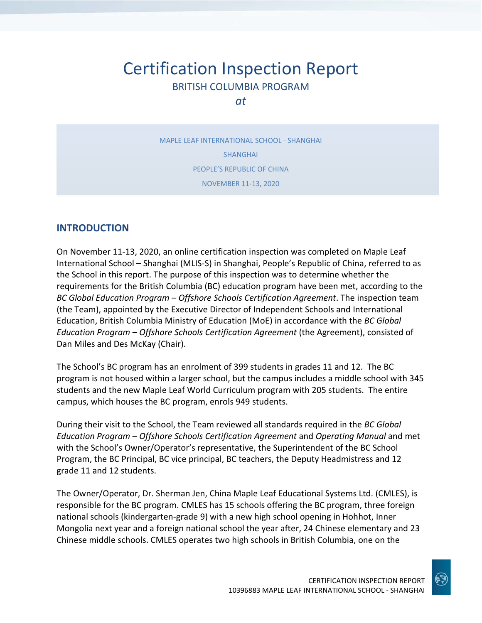# Certification Inspection Report BRITISH COLUMBIA PROGRAM

*at*

MAPLE LEAF INTERNATIONAL SCHOOL - SHANGHAI SHANGHAI PEOPLE'S REPUBLIC OF CHINA NOVEMBER 11-13, 2020

### **INTRODUCTION**

On November 11-13, 2020, an online certification inspection was completed on Maple Leaf International School – Shanghai (MLIS-S) in Shanghai, People's Republic of China, referred to as the School in this report. The purpose of this inspection was to determine whether the requirements for the British Columbia (BC) education program have been met, according to the *BC Global Education Program – Offshore Schools Certification Agreement*. The inspection team (the Team), appointed by the Executive Director of Independent Schools and International Education, British Columbia Ministry of Education (MoE) in accordance with the *BC Global Education Program – Offshore Schools Certification Agreement* (the Agreement), consisted of Dan Miles and Des McKay (Chair).

The School's BC program has an enrolment of 399 students in grades 11 and 12. The BC program is not housed within a larger school, but the campus includes a middle school with 345 students and the new Maple Leaf World Curriculum program with 205 students. The entire campus, which houses the BC program, enrols 949 students.

During their visit to the School, the Team reviewed all standards required in the *BC Global Education Program – Offshore Schools Certification Agreement* and *Operating Manual* and met with the School's Owner/Operator's representative, the Superintendent of the BC School Program, the BC Principal, BC vice principal, BC teachers, the Deputy Headmistress and 12 grade 11 and 12 students.

The Owner/Operator, Dr. Sherman Jen, China Maple Leaf Educational Systems Ltd. (CMLES), is responsible for the BC program. CMLES has 15 schools offering the BC program, three foreign national schools (kindergarten-grade 9) with a new high school opening in Hohhot, Inner Mongolia next year and a foreign national school the year after, 24 Chinese elementary and 23 Chinese middle schools. CMLES operates two high schools in British Columbia, one on the

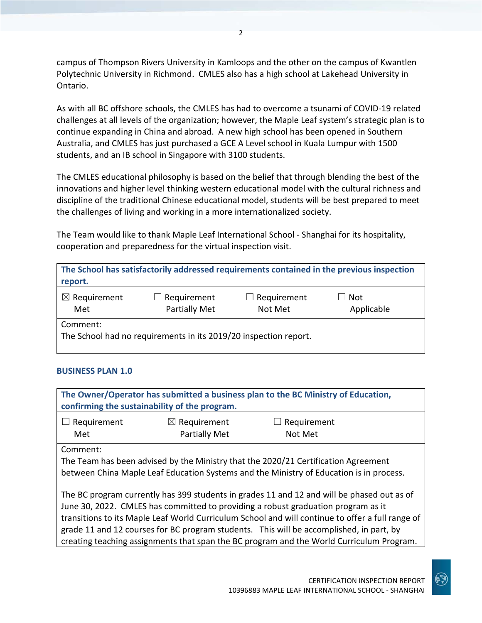campus of Thompson Rivers University in Kamloops and the other on the campus of Kwantlen Polytechnic University in Richmond. CMLES also has a high school at Lakehead University in Ontario.

As with all BC offshore schools, the CMLES has had to overcome a tsunami of COVID-19 related challenges at all levels of the organization; however, the Maple Leaf system's strategic plan is to continue expanding in China and abroad. A new high school has been opened in Southern Australia, and CMLES has just purchased a GCE A Level school in Kuala Lumpur with 1500 students, and an IB school in Singapore with 3100 students.

The CMLES educational philosophy is based on the belief that through blending the best of the innovations and higher level thinking western educational model with the cultural richness and discipline of the traditional Chinese educational model, students will be best prepared to meet the challenges of living and working in a more internationalized society.

The Team would like to thank Maple Leaf International School - Shanghai for its hospitality, cooperation and preparedness for the virtual inspection visit.

| The School has satisfactorily addressed requirements contained in the previous inspection<br>report. |                                            |                               |                   |
|------------------------------------------------------------------------------------------------------|--------------------------------------------|-------------------------------|-------------------|
| $\boxtimes$ Requirement<br>Met                                                                       | $\Box$ Requirement<br><b>Partially Met</b> | $\Box$ Requirement<br>Not Met | Not<br>Applicable |
| Comment:<br>The School had no requirements in its 2019/20 inspection report.                         |                                            |                               |                   |

### **BUSINESS PLAN 1.0**

**The Owner/Operator has submitted a business plan to the BC Ministry of Education, confirming the sustainability of the program.**  $\Box$  Requirement Met ☒ Requirement Partially Met  $\Box$  Requirement Not Met Comment: The Team has been advised by the Ministry that the 2020/21 Certification Agreement between China Maple Leaf Education Systems and the Ministry of Education is in process. The BC program currently has 399 students in grades 11 and 12 and will be phased out as of June 30, 2022. CMLES has committed to providing a robust graduation program as it transitions to its Maple Leaf World Curriculum School and will continue to offer a full range of grade 11 and 12 courses for BC program students. This will be accomplished, in part, by creating teaching assignments that span the BC program and the World Curriculum Program.

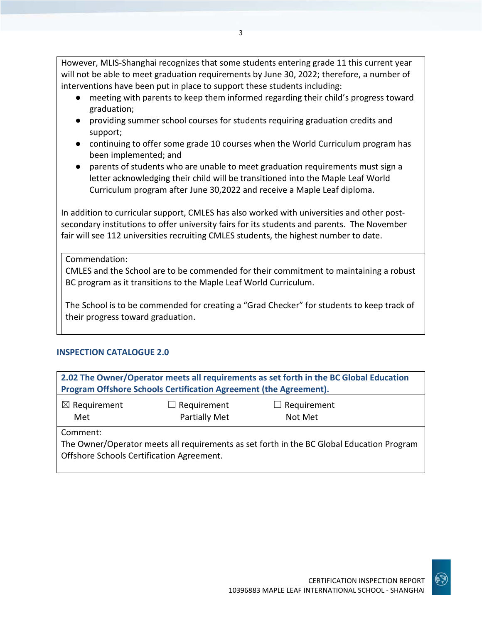However, MLIS-Shanghai recognizes that some students entering grade 11 this current year will not be able to meet graduation requirements by June 30, 2022; therefore, a number of interventions have been put in place to support these students including:

- meeting with parents to keep them informed regarding their child's progress toward graduation;
- providing summer school courses for students requiring graduation credits and support;
- continuing to offer some grade 10 courses when the World Curriculum program has been implemented; and
- parents of students who are unable to meet graduation requirements must sign a letter acknowledging their child will be transitioned into the Maple Leaf World Curriculum program after June 30,2022 and receive a Maple Leaf diploma.

In addition to curricular support, CMLES has also worked with universities and other postsecondary institutions to offer university fairs for its students and parents. The November fair will see 112 universities recruiting CMLES students, the highest number to date.

Commendation:

CMLES and the School are to be commended for their commitment to maintaining a robust BC program as it transitions to the Maple Leaf World Curriculum.

The School is to be commended for creating a "Grad Checker" for students to keep track of their progress toward graduation.

### **INSPECTION CATALOGUE 2.0**

| 2.02 The Owner/Operator meets all requirements as set forth in the BC Global Education<br>Program Offshore Schools Certification Agreement (the Agreement). |  |  |  |
|-------------------------------------------------------------------------------------------------------------------------------------------------------------|--|--|--|
| $\boxtimes$ Requirement<br>$\Box$ Requirement<br>$\Box$ Requirement<br>Partially Met<br>Met<br>Not Met                                                      |  |  |  |
| Comment:<br>The Owner/Operator meets all requirements as set forth in the BC Global Education Program<br>Offshore Schools Certification Agreement.          |  |  |  |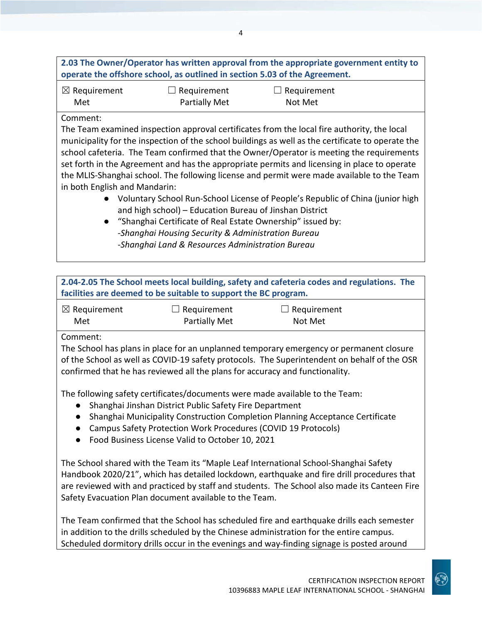| 2.03 The Owner/Operator has written approval from the appropriate government entity to |
|----------------------------------------------------------------------------------------|
| operate the offshore school, as outlined in section 5.03 of the Agreement.             |

4

| $\boxtimes$ Requirement |
|-------------------------|
| Met                     |

 $\Box$  Requirement Partially Met

 $\Box$  Requirement Not Met

### Comment:

The Team examined inspection approval certificates from the local fire authority, the local municipality for the inspection of the school buildings as well as the certificate to operate the school cafeteria. The Team confirmed that the Owner/Operator is meeting the requirements set forth in the Agreement and has the appropriate permits and licensing in place to operate the MLIS-Shanghai school. The following license and permit were made available to the Team in both English and Mandarin:

- Voluntary School Run-School License of People's Republic of China (junior high and high school) – Education Bureau of Jinshan District
- "Shanghai Certificate of Real Estate Ownership" issued by: -*Shanghai Housing Security & Administration Bureau -Shanghai Land & Resources Administration Bureau*

| 2.04-2.05 The School meets local building, safety and cafeteria codes and regulations. The<br>facilities are deemed to be suitable to support the BC program.                                                                                                                      |                      |             |  |
|------------------------------------------------------------------------------------------------------------------------------------------------------------------------------------------------------------------------------------------------------------------------------------|----------------------|-------------|--|
| $\boxtimes$ Requirement                                                                                                                                                                                                                                                            | $\Box$ Requirement   | Requirement |  |
| Met                                                                                                                                                                                                                                                                                | <b>Partially Met</b> | Not Met     |  |
| Comment:<br>The School has plans in place for an unplanned temporary emergency or permanent closure<br>of the School as well as COVID-19 safety protocols. The Superintendent on behalf of the OSR<br>confirmed that he has reviewed all the plans for accuracy and functionality. |                      |             |  |
| The following safety certificates/documents were made available to the Team:<br>Shanghai Jinshan District Public Safety Fire Department<br>$\bullet$                                                                                                                               |                      |             |  |
| Shanghai Municipality Construction Completion Planning Acceptance Certificate<br>$\bullet$<br>Campus Safety Protection Work Procedures (COVID 19 Protocols)<br>$\bullet$                                                                                                           |                      |             |  |

● Food Business License Valid to October 10, 2021

The School shared with the Team its "Maple Leaf International School-Shanghai Safety Handbook 2020/21", which has detailed lockdown, earthquake and fire drill procedures that are reviewed with and practiced by staff and students. The School also made its Canteen Fire Safety Evacuation Plan document available to the Team.

The Team confirmed that the School has scheduled fire and earthquake drills each semester in addition to the drills scheduled by the Chinese administration for the entire campus. Scheduled dormitory drills occur in the evenings and way-finding signage is posted around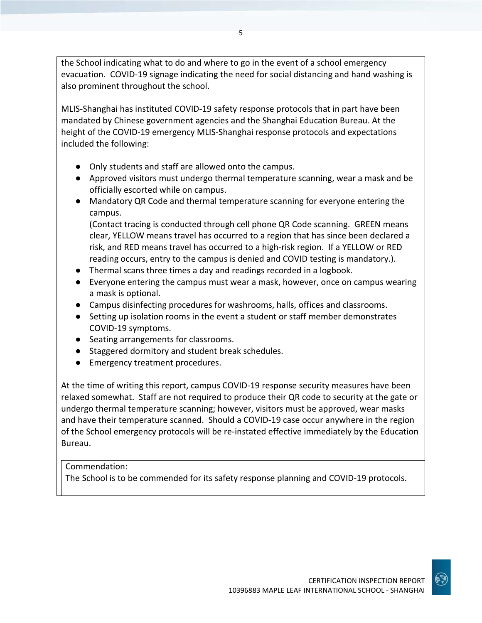the School indicating what to do and where to go in the event of a school emergency evacuation. COVID-19 signage indicating the need for social distancing and hand washing is also prominent throughout the school.

MLIS-Shanghai has instituted COVID-19 safety response protocols that in part have been mandated by Chinese government agencies and the Shanghai Education Bureau. At the height of the COVID-19 emergency MLIS-Shanghai response protocols and expectations included the following:

- Only students and staff are allowed onto the campus.
- Approved visitors must undergo thermal temperature scanning, wear a mask and be officially escorted while on campus.
- Mandatory QR Code and thermal temperature scanning for everyone entering the campus.

(Contact tracing is conducted through cell phone QR Code scanning. GREEN means clear, YELLOW means travel has occurred to a region that has since been declared a risk, and RED means travel has occurred to a high-risk region. If a YELLOW or RED reading occurs, entry to the campus is denied and COVID testing is mandatory.).

- Thermal scans three times a day and readings recorded in a logbook.
- Everyone entering the campus must wear a mask, however, once on campus wearing a mask is optional.
- Campus disinfecting procedures for washrooms, halls, offices and classrooms.
- Setting up isolation rooms in the event a student or staff member demonstrates COVID-19 symptoms.
- Seating arrangements for classrooms.
- Staggered dormitory and student break schedules.
- Emergency treatment procedures.

At the time of writing this report, campus COVID-19 response security measures have been relaxed somewhat. Staff are not required to produce their QR code to security at the gate or undergo thermal temperature scanning; however, visitors must be approved, wear masks and have their temperature scanned. Should a COVID-19 case occur anywhere in the region of the School emergency protocols will be re-instated effective immediately by the Education Bureau.

### Commendation:

The School is to be commended for its safety response planning and COVID-19 protocols.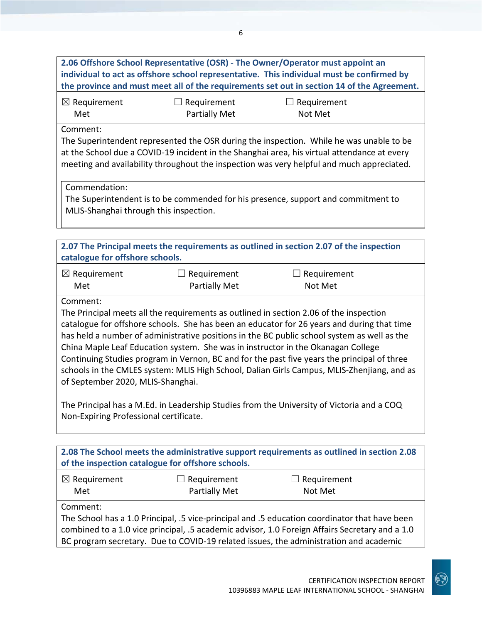| 2.06 Offshore School Representative (OSR) - The Owner/Operator must appoint an<br>individual to act as offshore school representative. This individual must be confirmed by<br>the province and must meet all of the requirements set out in section 14 of the Agreement.                                                                                                                                                                                                                                                                                                                                                                                                                                                                                    |                                            |                                                                                           |  |
|--------------------------------------------------------------------------------------------------------------------------------------------------------------------------------------------------------------------------------------------------------------------------------------------------------------------------------------------------------------------------------------------------------------------------------------------------------------------------------------------------------------------------------------------------------------------------------------------------------------------------------------------------------------------------------------------------------------------------------------------------------------|--------------------------------------------|-------------------------------------------------------------------------------------------|--|
| $\boxtimes$ Requirement<br>Met                                                                                                                                                                                                                                                                                                                                                                                                                                                                                                                                                                                                                                                                                                                               | $\Box$ Requirement<br><b>Partially Met</b> | Requirement<br>Not Met                                                                    |  |
| Comment:<br>The Superintendent represented the OSR during the inspection. While he was unable to be<br>at the School due a COVID-19 incident in the Shanghai area, his virtual attendance at every<br>meeting and availability throughout the inspection was very helpful and much appreciated.                                                                                                                                                                                                                                                                                                                                                                                                                                                              |                                            |                                                                                           |  |
| Commendation:<br>MLIS-Shanghai through this inspection.                                                                                                                                                                                                                                                                                                                                                                                                                                                                                                                                                                                                                                                                                                      |                                            | The Superintendent is to be commended for his presence, support and commitment to         |  |
|                                                                                                                                                                                                                                                                                                                                                                                                                                                                                                                                                                                                                                                                                                                                                              |                                            |                                                                                           |  |
| catalogue for offshore schools.                                                                                                                                                                                                                                                                                                                                                                                                                                                                                                                                                                                                                                                                                                                              |                                            | 2.07 The Principal meets the requirements as outlined in section 2.07 of the inspection   |  |
| $\boxtimes$ Requirement<br>Met                                                                                                                                                                                                                                                                                                                                                                                                                                                                                                                                                                                                                                                                                                                               | Requirement<br><b>Partially Met</b>        | Requirement<br>Not Met                                                                    |  |
| Comment:<br>The Principal meets all the requirements as outlined in section 2.06 of the inspection<br>catalogue for offshore schools. She has been an educator for 26 years and during that time<br>has held a number of administrative positions in the BC public school system as well as the<br>China Maple Leaf Education system. She was in instructor in the Okanagan College<br>Continuing Studies program in Vernon, BC and for the past five years the principal of three<br>schools in the CMLES system: MLIS High School, Dalian Girls Campus, MLIS-Zhenjiang, and as<br>of September 2020, MLIS-Shanghai.<br>The Principal has a M.Ed. in Leadership Studies from the University of Victoria and a COQ<br>Non-Expiring Professional certificate. |                                            |                                                                                           |  |
|                                                                                                                                                                                                                                                                                                                                                                                                                                                                                                                                                                                                                                                                                                                                                              |                                            | 2.08 The School meets the administrative support requirements as outlined in section 2.08 |  |
| of the inspection catalogue for offshore schools.                                                                                                                                                                                                                                                                                                                                                                                                                                                                                                                                                                                                                                                                                                            |                                            |                                                                                           |  |
|                                                                                                                                                                                                                                                                                                                                                                                                                                                                                                                                                                                                                                                                                                                                                              |                                            |                                                                                           |  |

Partially Met

The School has a 1.0 Principal, .5 vice-principal and .5 education coordinator that have been combined to a 1.0 vice principal, .5 academic advisor, 1.0 Foreign Affairs Secretary and a 1.0 BC program secretary. Due to COVID-19 related issues, the administration and academic

Met

Comment:

Not Met

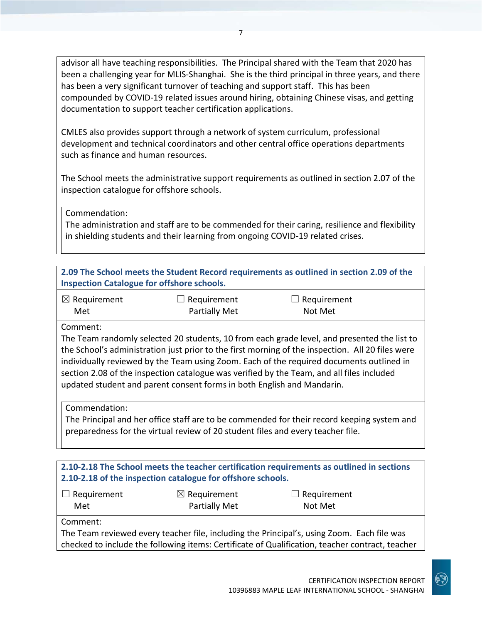advisor all have teaching responsibilities. The Principal shared with the Team that 2020 has been a challenging year for MLIS-Shanghai. She is the third principal in three years, and there has been a very significant turnover of teaching and support staff. This has been compounded by COVID-19 related issues around hiring, obtaining Chinese visas, and getting documentation to support teacher certification applications.

CMLES also provides support through a network of system curriculum, professional development and technical coordinators and other central office operations departments such as finance and human resources.

The School meets the administrative support requirements as outlined in section 2.07 of the inspection catalogue for offshore schools.

Commendation:

The administration and staff are to be commended for their caring, resilience and flexibility in shielding students and their learning from ongoing COVID-19 related crises.

| 2.09 The School meets the Student Record requirements as outlined in section 2.09 of the |  |
|------------------------------------------------------------------------------------------|--|
| <b>Inspection Catalogue for offshore schools.</b>                                        |  |

| $\boxtimes$ Requirement | $\Box$ Requirement   | $\Box$ Requirement |
|-------------------------|----------------------|--------------------|
| Met                     | <b>Partially Met</b> | Not Met            |

Comment:

The Team randomly selected 20 students, 10 from each grade level, and presented the list to the School's administration just prior to the first morning of the inspection. All 20 files were individually reviewed by the Team using Zoom. Each of the required documents outlined in section 2.08 of the inspection catalogue was verified by the Team, and all files included updated student and parent consent forms in both English and Mandarin.

Commendation:

The Principal and her office staff are to be commended for their record keeping system and preparedness for the virtual review of 20 student files and every teacher file.

| 2.10-2.18 The School meets the teacher certification requirements as outlined in sections<br>2.10-2.18 of the inspection catalogue for offshore schools. |                                                                           |                                                                                            |
|----------------------------------------------------------------------------------------------------------------------------------------------------------|---------------------------------------------------------------------------|--------------------------------------------------------------------------------------------|
| $\Box$ Requirement<br>Met                                                                                                                                | $\boxtimes$ Requirement<br>$\Box$ Requirement<br>Partially Met<br>Not Met |                                                                                            |
| Comment:                                                                                                                                                 |                                                                           | The Team reviewed every teacher file, including the Principal's, using Zoom. Each file was |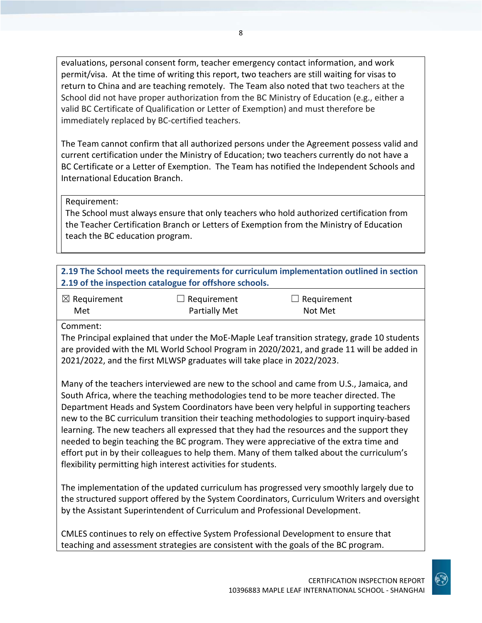evaluations, personal consent form, teacher emergency contact information, and work permit/visa. At the time of writing this report, two teachers are still waiting for visas to return to China and are teaching remotely. The Team also noted that two teachers at the School did not have proper authorization from the BC Ministry of Education (e.g., either a valid BC Certificate of Qualification or Letter of Exemption) and must therefore be immediately replaced by BC-certified teachers.

The Team cannot confirm that all authorized persons under the Agreement possess valid and current certification under the Ministry of Education; two teachers currently do not have a BC Certificate or a Letter of Exemption.The Team has notified the Independent Schools and International Education Branch.

Requirement:

The School must always ensure that only teachers who hold authorized certification from the Teacher Certification Branch or Letters of Exemption from the Ministry of Education teach the BC education program.

| 2.19 The School meets the requirements for curriculum implementation outlined in section |
|------------------------------------------------------------------------------------------|
| 2.19 of the inspection catalogue for offshore schools.                                   |

| $\boxtimes$ Requirement | $\Box$ Requirement   | $\Box$ Requirement |
|-------------------------|----------------------|--------------------|
| Met                     | <b>Partially Met</b> | Not Met            |

Comment:

The Principal explained that under the MoE-Maple Leaf transition strategy, grade 10 students are provided with the ML World School Program in 2020/2021, and grade 11 will be added in 2021/2022, and the first MLWSP graduates will take place in 2022/2023.

Many of the teachers interviewed are new to the school and came from U.S., Jamaica, and South Africa, where the teaching methodologies tend to be more teacher directed. The Department Heads and System Coordinators have been very helpful in supporting teachers new to the BC curriculum transition their teaching methodologies to support inquiry-based learning. The new teachers all expressed that they had the resources and the support they needed to begin teaching the BC program. They were appreciative of the extra time and effort put in by their colleagues to help them. Many of them talked about the curriculum's flexibility permitting high interest activities for students.

The implementation of the updated curriculum has progressed very smoothly largely due to the structured support offered by the System Coordinators, Curriculum Writers and oversight by the Assistant Superintendent of Curriculum and Professional Development.

CMLES continues to rely on effective System Professional Development to ensure that teaching and assessment strategies are consistent with the goals of the BC program.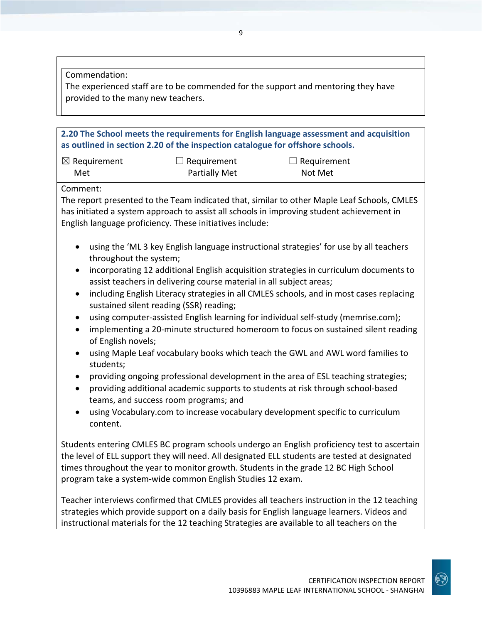Commendation:

The experienced staff are to be commended for the support and mentoring they have provided to the many new teachers.

**2.20 The School meets the requirements for English language assessment and acquisition as outlined in section 2.20 of the inspection catalogue for offshore schools.**

| $\boxtimes$ Requirement | $\Box$ Requirement   | $\Box$ Requirement |
|-------------------------|----------------------|--------------------|
| Met                     | <b>Partially Met</b> | Not Met            |

Comment:

The report presented to the Team indicated that, similar to other Maple Leaf Schools, CMLES has initiated a system approach to assist all schools in improving student achievement in English language proficiency. These initiatives include:

- using the 'ML 3 key English language instructional strategies' for use by all teachers throughout the system;
- incorporating 12 additional English acquisition strategies in curriculum documents to assist teachers in delivering course material in all subject areas;
- including English Literacy strategies in all CMLES schools, and in most cases replacing sustained silent reading (SSR) reading;
- using computer-assisted English learning for individual self-study (memrise.com);
- implementing a 20-minute structured homeroom to focus on sustained silent reading of English novels;
- using Maple Leaf vocabulary books which teach the GWL and AWL word families to students;
- providing ongoing professional development in the area of ESL teaching strategies;
- providing additional academic supports to students at risk through school-based teams, and success room programs; and
- using Vocabulary.com to increase vocabulary development specific to curriculum content.

Students entering CMLES BC program schools undergo an English proficiency test to ascertain the level of ELL support they will need. All designated ELL students are tested at designated times throughout the year to monitor growth. Students in the grade 12 BC High School program take a system-wide common English Studies 12 exam.

Teacher interviews confirmed that CMLES provides all teachers instruction in the 12 teaching strategies which provide support on a daily basis for English language learners. Videos and instructional materials for the 12 teaching Strategies are available to all teachers on the

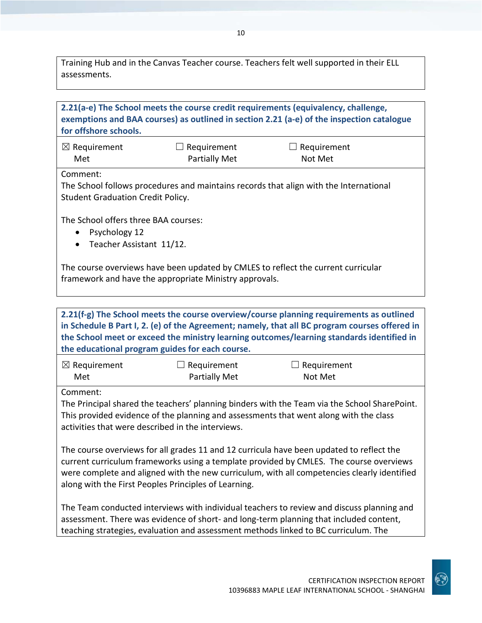Training Hub and in the Canvas Teacher course. Teachers felt well supported in their ELL assessments.

| 2.21(a-e) The School meets the course credit requirements (equivalency, challenge,<br>exemptions and BAA courses) as outlined in section 2.21 (a-e) of the inspection catalogue<br>for offshore schools.                                  |                                     |                               |  |
|-------------------------------------------------------------------------------------------------------------------------------------------------------------------------------------------------------------------------------------------|-------------------------------------|-------------------------------|--|
| $\boxtimes$ Requirement<br>Met                                                                                                                                                                                                            | $\Box$ Requirement<br>Partially Met | $\Box$ Requirement<br>Not Met |  |
| Comment:<br>The School follows procedures and maintains records that align with the International<br><b>Student Graduation Credit Policy.</b>                                                                                             |                                     |                               |  |
| The School offers three BAA courses:<br>Psychology 12<br>$\bullet$<br>Teacher Assistant 11/12.<br>$\bullet$                                                                                                                               |                                     |                               |  |
| The course overviews have been updated by CMLES to reflect the current curricular<br>framework and have the appropriate Ministry approvals.                                                                                               |                                     |                               |  |
|                                                                                                                                                                                                                                           |                                     |                               |  |
| 2.21(f-g) The School meets the course overview/course planning requirements as outlined<br>$\mathcal{L}$ of the final policies of $\mathcal{L}$ is a second controlled to the final control of the set of $\mathcal{C}$ and $\mathcal{L}$ |                                     |                               |  |

**in Schedule B Part I, 2. (e) of the Agreement; namely, that all BC program courses offered in the School meet or exceed the ministry learning outcomes/learning standards identified in the educational program guides for each course.**

| $\boxtimes$ Requirement | $\Box$ Requirement   | $\Box$ Requirement |
|-------------------------|----------------------|--------------------|
| Met                     | <b>Partially Met</b> | Not Met            |

Comment:

The Principal shared the teachers' planning binders with the Team via the School SharePoint. This provided evidence of the planning and assessments that went along with the class activities that were described in the interviews.

The course overviews for all grades 11 and 12 curricula have been updated to reflect the current curriculum frameworks using a template provided by CMLES. The course overviews were complete and aligned with the new curriculum, with all competencies clearly identified along with the First Peoples Principles of Learning.

The Team conducted interviews with individual teachers to review and discuss planning and assessment. There was evidence of short- and long-term planning that included content, teaching strategies, evaluation and assessment methods linked to BC curriculum. The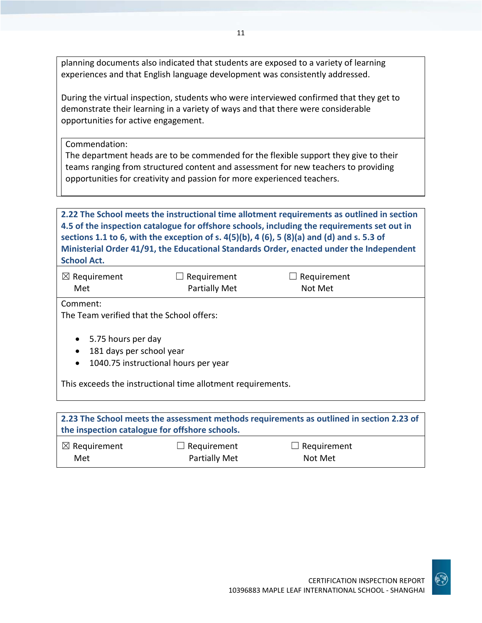planning documents also indicated that students are exposed to a variety of learning experiences and that English language development was consistently addressed.

11

During the virtual inspection, students who were interviewed confirmed that they get to demonstrate their learning in a variety of ways and that there were considerable opportunities for active engagement.

Commendation:

The department heads are to be commended for the flexible support they give to their teams ranging from structured content and assessment for new teachers to providing opportunities for creativity and passion for more experienced teachers.

**2.22 The School meets the instructional time allotment requirements as outlined in section 4.5 of the inspection catalogue for offshore schools, including the requirements set out in sections 1.1 to 6, with the exception of s. 4(5)(b), 4 (6), 5 (8)(a) and (d) and s. 5.3 of Ministerial Order 41/91, the Educational Standards Order, enacted under the Independent School Act.**

| $\boxtimes$ Requirement | $\Box$ Requirement   | $\Box$ Requirement |
|-------------------------|----------------------|--------------------|
| Met                     | <b>Partially Met</b> | Not Met            |

Comment:

The Team verified that the School offers:

- 5.75 hours per day
- 181 days per school year
- 1040.75 instructional hours per year

This exceeds the instructional time allotment requirements.

| 2.23 The School meets the assessment methods requirements as outlined in section 2.23 of<br>the inspection catalogue for offshore schools. |                      |                    |  |  |
|--------------------------------------------------------------------------------------------------------------------------------------------|----------------------|--------------------|--|--|
| $\boxtimes$ Requirement                                                                                                                    | $\Box$ Requirement   | $\Box$ Requirement |  |  |
| Met                                                                                                                                        | <b>Partially Met</b> | Not Met            |  |  |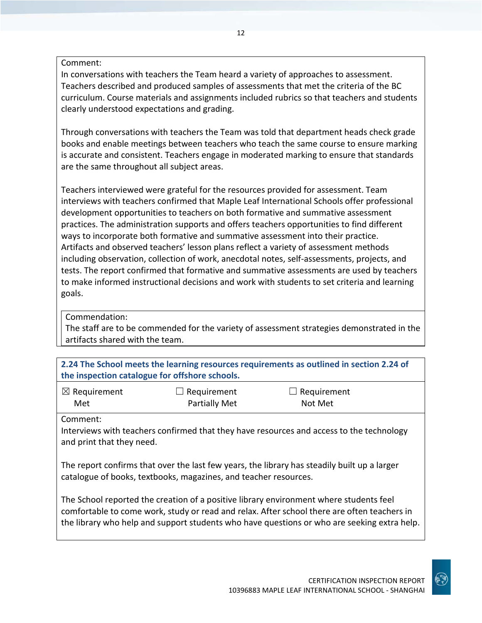Comment:

In conversations with teachers the Team heard a variety of approaches to assessment. Teachers described and produced samples of assessments that met the criteria of the BC curriculum. Course materials and assignments included rubrics so that teachers and students clearly understood expectations and grading.

Through conversations with teachers the Team was told that department heads check grade books and enable meetings between teachers who teach the same course to ensure marking is accurate and consistent. Teachers engage in moderated marking to ensure that standards are the same throughout all subject areas.

Teachers interviewed were grateful for the resources provided for assessment. Team interviews with teachers confirmed that Maple Leaf International Schools offer professional development opportunities to teachers on both formative and summative assessment practices. The administration supports and offers teachers opportunities to find different ways to incorporate both formative and summative assessment into their practice. Artifacts and observed teachers' lesson plans reflect a variety of assessment methods including observation, collection of work, anecdotal notes, self-assessments, projects, and tests. The report confirmed that formative and summative assessments are used by teachers to make informed instructional decisions and work with students to set criteria and learning goals.

Commendation:

The staff are to be commended for the variety of assessment strategies demonstrated in the artifacts shared with the team.

| 2.24 The School meets the learning resources requirements as outlined in section 2.24 of |                    |                    |  |
|------------------------------------------------------------------------------------------|--------------------|--------------------|--|
| the inspection catalogue for offshore schools.                                           |                    |                    |  |
| $\boxtimes$ Requirement                                                                  | $\Box$ Requirement | $\Box$ Requirement |  |

| Met      |  |
|----------|--|
| Comment: |  |

Interviews with teachers confirmed that they have resources and access to the technology and print that they need.

Partially Met

The report confirms that over the last few years, the library has steadily built up a larger catalogue of books, textbooks, magazines, and teacher resources.

The School reported the creation of a positive library environment where students feel comfortable to come work, study or read and relax. After school there are often teachers in the library who help and support students who have questions or who are seeking extra help.

Not Met

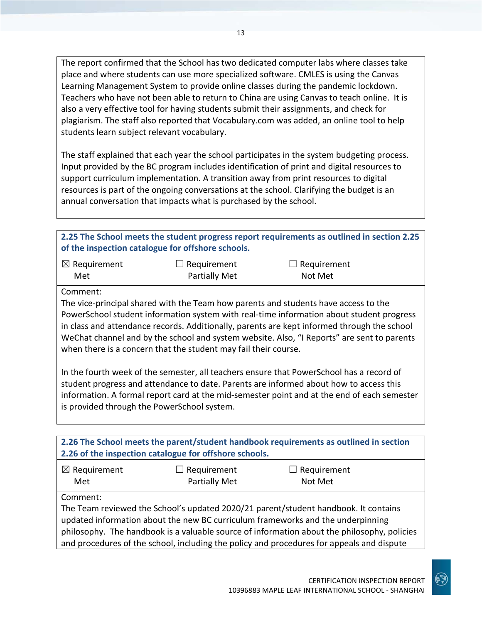The report confirmed that the School has two dedicated computer labs where classes take place and where students can use more specialized software. CMLES is using the Canvas Learning Management System to provide online classes during the pandemic lockdown. Teachers who have not been able to return to China are using Canvas to teach online. It is also a very effective tool for having students submit their assignments, and check for plagiarism. The staff also reported that Vocabulary.com was added, an online tool to help students learn subject relevant vocabulary.

The staff explained that each year the school participates in the system budgeting process. Input provided by the BC program includes identification of print and digital resources to support curriculum implementation. A transition away from print resources to digital resources is part of the ongoing conversations at the school. Clarifying the budget is an annual conversation that impacts what is purchased by the school.

| 2.25 The School meets the student progress report requirements as outlined in section 2.25 |
|--------------------------------------------------------------------------------------------|
| of the inspection catalogue for offshore schools.                                          |
|                                                                                            |

| $\boxtimes$ Requirement | $\Box$ Requirement   | $\Box$ Requirement |
|-------------------------|----------------------|--------------------|
| Met                     | <b>Partially Met</b> | Not Met            |

Comment:

The vice-principal shared with the Team how parents and students have access to the PowerSchool student information system with real-time information about student progress in class and attendance records. Additionally, parents are kept informed through the school WeChat channel and by the school and system website. Also, "I Reports" are sent to parents when there is a concern that the student may fail their course.

In the fourth week of the semester, all teachers ensure that PowerSchool has a record of student progress and attendance to date. Parents are informed about how to access this information. A formal report card at the mid-semester point and at the end of each semester is provided through the PowerSchool system.

| 2.26 The School meets the parent/student handbook requirements as outlined in section<br>2.26 of the inspection catalogue for offshore schools.                                                                                                                                                                                                                                |               |         |  |  |
|--------------------------------------------------------------------------------------------------------------------------------------------------------------------------------------------------------------------------------------------------------------------------------------------------------------------------------------------------------------------------------|---------------|---------|--|--|
| $\boxtimes$ Requirement<br>$\Box$ Requirement<br>$\Box$ Requirement                                                                                                                                                                                                                                                                                                            |               |         |  |  |
| Met                                                                                                                                                                                                                                                                                                                                                                            | Partially Met | Not Met |  |  |
| Comment:<br>The Team reviewed the School's updated 2020/21 parent/student handbook. It contains<br>updated information about the new BC curriculum frameworks and the underpinning<br>philosophy. The handbook is a valuable source of information about the philosophy, policies<br>and procedures of the school, including the policy and procedures for appeals and dispute |               |         |  |  |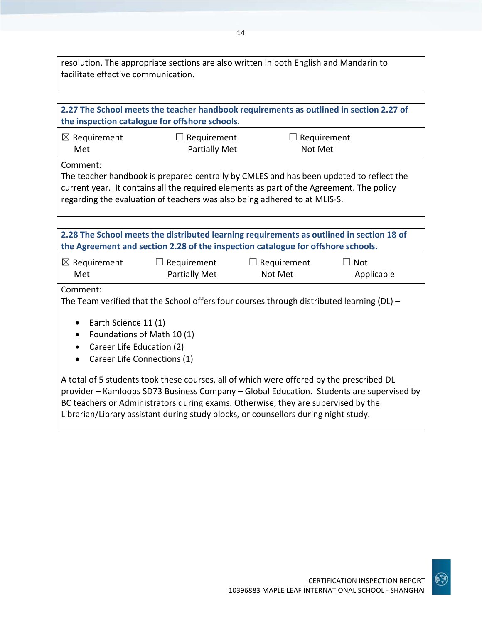resolution. The appropriate sections are also written in both English and Mandarin to facilitate effective communication.

| 2.27 The School meets the teacher handbook requirements as outlined in section 2.27 of<br>the inspection catalogue for offshore schools.                                                                                                                                                                                                                         |                      |                    |            |  |
|------------------------------------------------------------------------------------------------------------------------------------------------------------------------------------------------------------------------------------------------------------------------------------------------------------------------------------------------------------------|----------------------|--------------------|------------|--|
| $\boxtimes$ Requirement                                                                                                                                                                                                                                                                                                                                          | $\Box$ Requirement   | $\Box$ Requirement |            |  |
| Met                                                                                                                                                                                                                                                                                                                                                              | <b>Partially Met</b> | Not Met            |            |  |
| Comment:<br>The teacher handbook is prepared centrally by CMLES and has been updated to reflect the<br>current year. It contains all the required elements as part of the Agreement. The policy<br>regarding the evaluation of teachers was also being adhered to at MLIS-S.                                                                                     |                      |                    |            |  |
| 2.28 The School meets the distributed learning requirements as outlined in section 18 of<br>the Agreement and section 2.28 of the inspection catalogue for offshore schools.                                                                                                                                                                                     |                      |                    |            |  |
| $\boxtimes$ Requirement                                                                                                                                                                                                                                                                                                                                          | $\Box$ Requirement   | $\Box$ Requirement | Not        |  |
| Met                                                                                                                                                                                                                                                                                                                                                              | Partially Met        | Not Met            | Applicable |  |
| Comment:<br>The Team verified that the School offers four courses through distributed learning ( $DL$ ) –<br>Earth Science 11 (1)<br>$\bullet$<br>Foundations of Math 10(1)<br>$\bullet$<br>Career Life Education (2)<br>$\bullet$<br>Career Life Connections (1)<br>$\bullet$                                                                                   |                      |                    |            |  |
| A total of 5 students took these courses, all of which were offered by the prescribed DL<br>provider - Kamloops SD73 Business Company - Global Education. Students are supervised by<br>BC teachers or Administrators during exams. Otherwise, they are supervised by the<br>Librarian/Library assistant during study blocks, or counsellors during night study. |                      |                    |            |  |

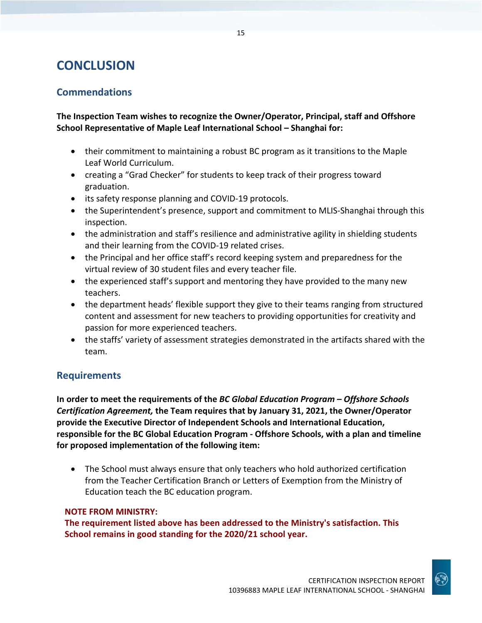## **CONCLUSION**

### **Commendations**

**The Inspection Team wishes to recognize the Owner/Operator, Principal, staff and Offshore School Representative of Maple Leaf International School – Shanghai for:** 

- their commitment to maintaining a robust BC program as it transitions to the Maple Leaf World Curriculum.
- creating a "Grad Checker" for students to keep track of their progress toward graduation.
- its safety response planning and COVID-19 protocols.
- the Superintendent's presence, support and commitment to MLIS-Shanghai through this inspection.
- the administration and staff's resilience and administrative agility in shielding students and their learning from the COVID-19 related crises.
- the Principal and her office staff's record keeping system and preparedness for the virtual review of 30 student files and every teacher file.
- the experienced staff's support and mentoring they have provided to the many new teachers.
- the department heads' flexible support they give to their teams ranging from structured content and assessment for new teachers to providing opportunities for creativity and passion for more experienced teachers.
- the staffs' variety of assessment strategies demonstrated in the artifacts shared with the team.

### **Requirements**

**In order to meet the requirements of the** *BC Global Education Program – Offshore Schools Certification Agreement,* **the Team requires that by January 31, 2021, the Owner/Operator provide the Executive Director of Independent Schools and International Education, responsible for the BC Global Education Program - Offshore Schools, with a plan and timeline for proposed implementation of the following item:**

• The School must always ensure that only teachers who hold authorized certification from the Teacher Certification Branch or Letters of Exemption from the Ministry of Education teach the BC education program.

### **NOTE FROM MINISTRY:**

**The requirement listed above has been addressed to the Ministry's satisfaction. This School remains in good standing for the 2020/21 school year.**